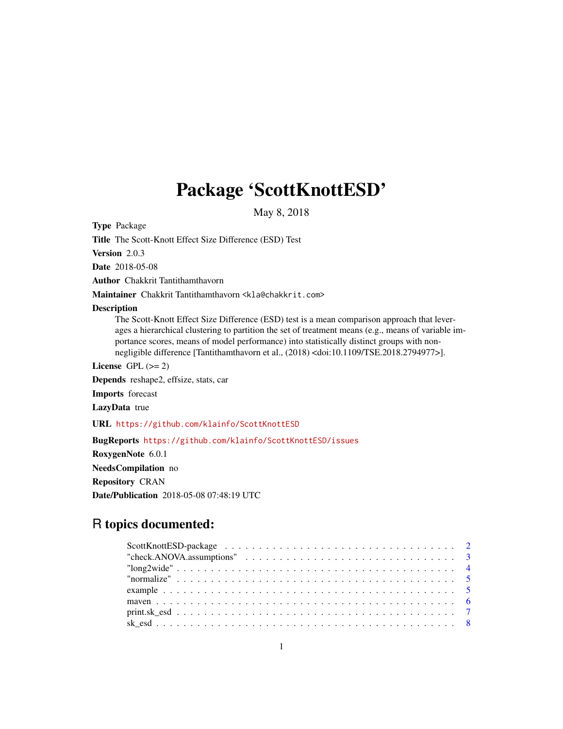# Package 'ScottKnottESD'

May 8, 2018

Type Package

Title The Scott-Knott Effect Size Difference (ESD) Test

Version 2.0.3

Date 2018-05-08

Author Chakkrit Tantithamthavorn

Maintainer Chakkrit Tantithamthavorn <kla@chakkrit.com>

#### **Description**

The Scott-Knott Effect Size Difference (ESD) test is a mean comparison approach that leverages a hierarchical clustering to partition the set of treatment means (e.g., means of variable importance scores, means of model performance) into statistically distinct groups with nonnegligible difference [Tantithamthavorn et al., (2018) <doi:10.1109/TSE.2018.2794977>].

License GPL  $(>= 2)$ 

Depends reshape2, effsize, stats, car

Imports forecast

LazyData true

URL <https://github.com/klainfo/ScottKnottESD>

BugReports <https://github.com/klainfo/ScottKnottESD/issues>

RoxygenNote 6.0.1

NeedsCompilation no

Repository CRAN

Date/Publication 2018-05-08 07:48:19 UTC

# R topics documented: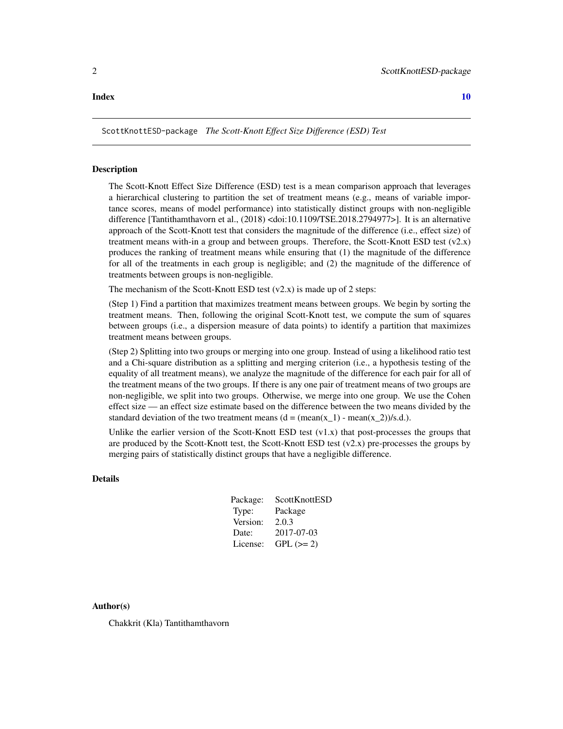#### <span id="page-1-0"></span> $\blacksquare$

ScottKnottESD-package *The Scott-Knott Effect Size Difference (ESD) Test*

#### Description

The Scott-Knott Effect Size Difference (ESD) test is a mean comparison approach that leverages a hierarchical clustering to partition the set of treatment means (e.g., means of variable importance scores, means of model performance) into statistically distinct groups with non-negligible difference [Tantithamthavorn et al., (2018) <doi:10.1109/TSE.2018.2794977>]. It is an alternative approach of the Scott-Knott test that considers the magnitude of the difference (i.e., effect size) of treatment means with-in a group and between groups. Therefore, the Scott-Knott ESD test  $(v2.x)$ produces the ranking of treatment means while ensuring that (1) the magnitude of the difference for all of the treatments in each group is negligible; and (2) the magnitude of the difference of treatments between groups is non-negligible.

The mechanism of the Scott-Knott ESD test  $(v2.x)$  is made up of 2 steps:

(Step 1) Find a partition that maximizes treatment means between groups. We begin by sorting the treatment means. Then, following the original Scott-Knott test, we compute the sum of squares between groups (i.e., a dispersion measure of data points) to identify a partition that maximizes treatment means between groups.

(Step 2) Splitting into two groups or merging into one group. Instead of using a likelihood ratio test and a Chi-square distribution as a splitting and merging criterion (i.e., a hypothesis testing of the equality of all treatment means), we analyze the magnitude of the difference for each pair for all of the treatment means of the two groups. If there is any one pair of treatment means of two groups are non-negligible, we split into two groups. Otherwise, we merge into one group. We use the Cohen effect size — an effect size estimate based on the difference between the two means divided by the standard deviation of the two treatment means  $(d = (mean(x_1) - mean(x_2))/s.d.).$ 

Unlike the earlier version of the Scott-Knott ESD test  $(v1.x)$  that post-processes the groups that are produced by the Scott-Knott test, the Scott-Knott ESD test  $(v2.x)$  pre-processes the groups by merging pairs of statistically distinct groups that have a negligible difference.

#### Details

| Package: | ScottKnottESD |
|----------|---------------|
| Type:    | Package       |
| Version: | 2.0.3         |
| Date:    | 2017-07-03    |
| License: | $GPL (= 2)$   |

Author(s)

Chakkrit (Kla) Tantithamthavorn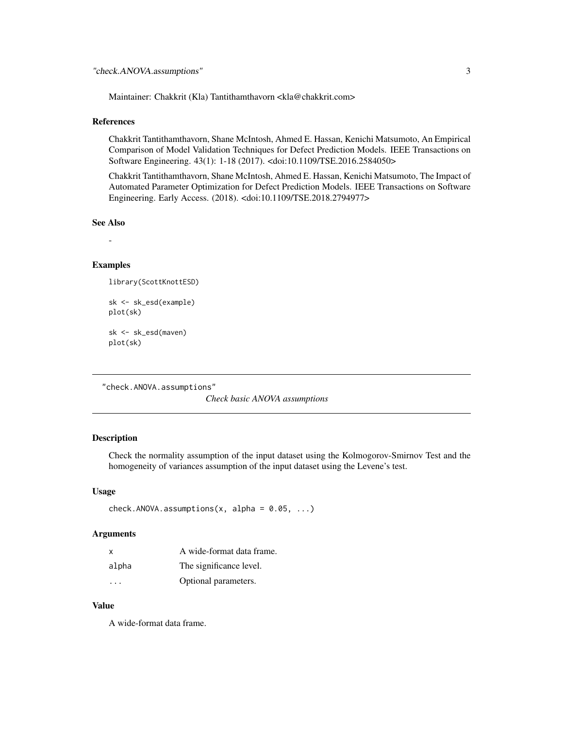<span id="page-2-0"></span>Maintainer: Chakkrit (Kla) Tantithamthavorn <kla@chakkrit.com>

#### References

Chakkrit Tantithamthavorn, Shane McIntosh, Ahmed E. Hassan, Kenichi Matsumoto, An Empirical Comparison of Model Validation Techniques for Defect Prediction Models. IEEE Transactions on Software Engineering. 43(1): 1-18 (2017). <doi:10.1109/TSE.2016.2584050>

Chakkrit Tantithamthavorn, Shane McIntosh, Ahmed E. Hassan, Kenichi Matsumoto, The Impact of Automated Parameter Optimization for Defect Prediction Models. IEEE Transactions on Software Engineering. Early Access. (2018). <doi:10.1109/TSE.2018.2794977>

#### See Also

-

#### Examples

```
library(ScottKnottESD)
```

```
sk <- sk_esd(example)
plot(sk)
sk <- sk_esd(maven)
```
plot(sk)

```
"check.ANOVA.assumptions"
```
*Check basic ANOVA assumptions*

#### Description

Check the normality assumption of the input dataset using the Kolmogorov-Smirnov Test and the homogeneity of variances assumption of the input dataset using the Levene's test.

#### Usage

```
check.ANOVA.assumptions(x, alpha = 0.05, ...)
```
#### **Arguments**

| X     | A wide-format data frame. |
|-------|---------------------------|
| alpha | The significance level.   |
| .     | Optional parameters.      |

#### Value

A wide-format data frame.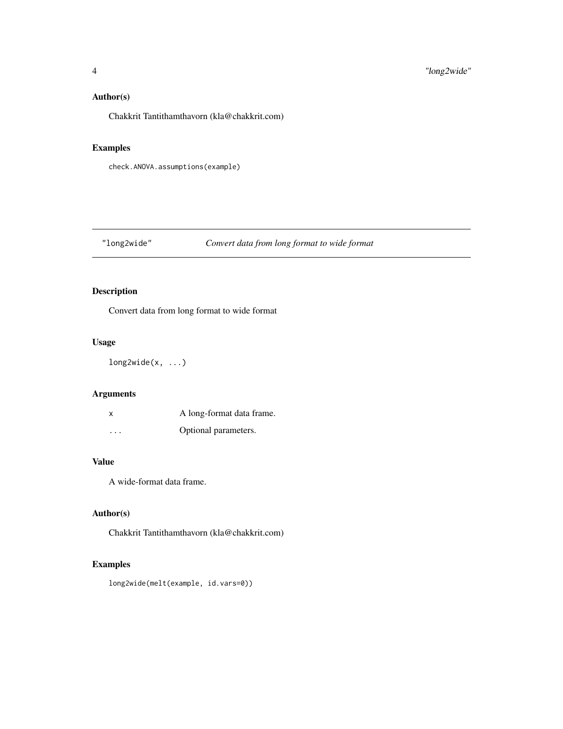#### <span id="page-3-0"></span>Author(s)

Chakkrit Tantithamthavorn (kla@chakkrit.com)

#### Examples

check.ANOVA.assumptions(example)

# "long2wide" *Convert data from long format to wide format*

## Description

Convert data from long format to wide format

#### Usage

long2wide(x, ...)

#### Arguments

| X        | A long-format data frame. |
|----------|---------------------------|
| $\cdots$ | Optional parameters.      |

#### Value

A wide-format data frame.

#### Author(s)

Chakkrit Tantithamthavorn (kla@chakkrit.com)

#### Examples

long2wide(melt(example, id.vars=0))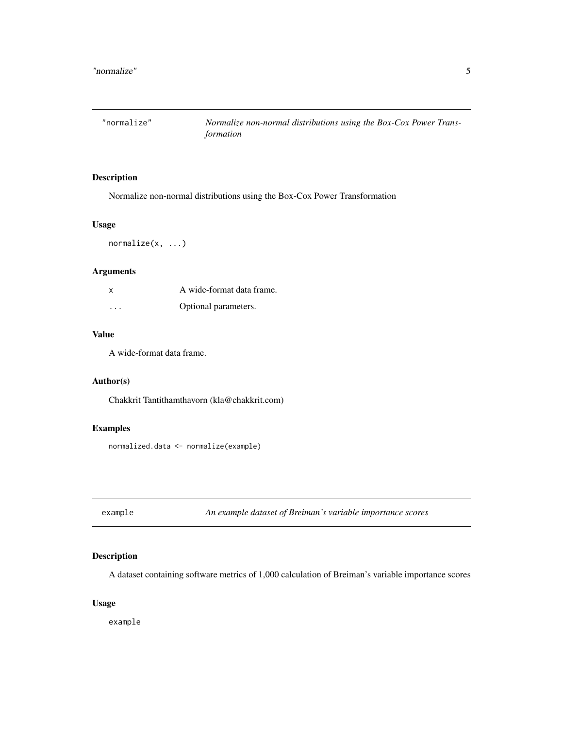<span id="page-4-0"></span>

#### Description

Normalize non-normal distributions using the Box-Cox Power Transformation

#### Usage

normalize(x, ...)

#### Arguments

| x                       | A wide-format data frame. |
|-------------------------|---------------------------|
| $\cdot$ $\cdot$ $\cdot$ | Optional parameters.      |

#### Value

A wide-format data frame.

#### Author(s)

Chakkrit Tantithamthavorn (kla@chakkrit.com)

#### Examples

normalized.data <- normalize(example)

example *An example dataset of Breiman's variable importance scores*

#### Description

A dataset containing software metrics of 1,000 calculation of Breiman's variable importance scores

#### Usage

example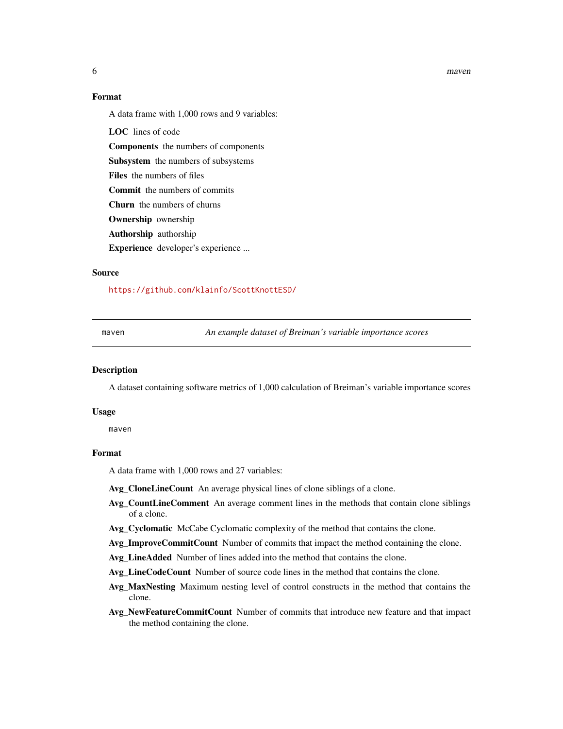#### 6 may be a set of the contract of the contract of the contract of the contract of the contract of the contract of the contract of the contract of the contract of the contract of the contract of the contract of the contract

#### Format

A data frame with 1,000 rows and 9 variables:

LOC lines of code Components the numbers of components Subsystem the numbers of subsystems Files the numbers of files Commit the numbers of commits Churn the numbers of churns Ownership ownership Authorship authorship Experience developer's experience ...

#### Source

<https://github.com/klainfo/ScottKnottESD/>

maven *An example dataset of Breiman's variable importance scores*

#### **Description**

A dataset containing software metrics of 1,000 calculation of Breiman's variable importance scores

#### Usage

maven

#### Format

A data frame with 1,000 rows and 27 variables:

Avg\_CloneLineCount An average physical lines of clone siblings of a clone.

- Avg CountLineComment An average comment lines in the methods that contain clone siblings of a clone.
- Avg\_Cyclomatic McCabe Cyclomatic complexity of the method that contains the clone.

Avg\_ImproveCommitCount Number of commits that impact the method containing the clone.

Avg\_LineAdded Number of lines added into the method that contains the clone.

Avg\_LineCodeCount Number of source code lines in the method that contains the clone.

- Avg\_MaxNesting Maximum nesting level of control constructs in the method that contains the clone.
- Avg\_NewFeatureCommitCount Number of commits that introduce new feature and that impact the method containing the clone.

<span id="page-5-0"></span>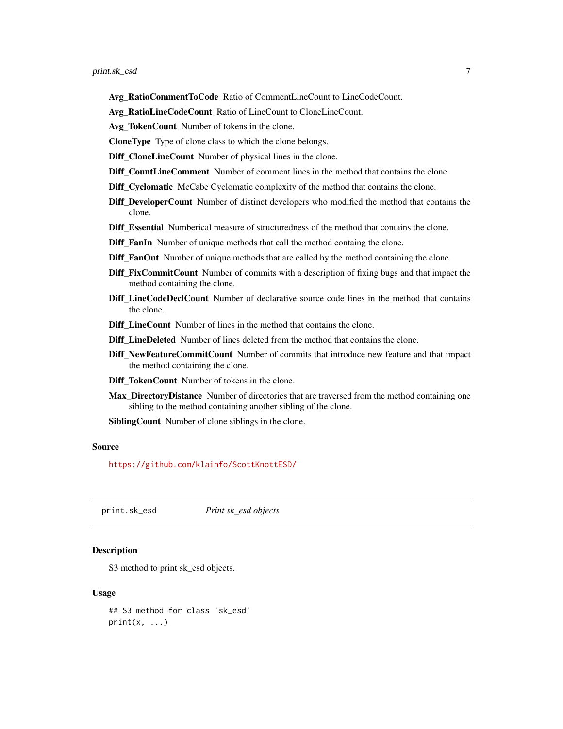- <span id="page-6-0"></span>Avg\_RatioCommentToCode Ratio of CommentLineCount to LineCodeCount.
- Avg\_RatioLineCodeCount Ratio of LineCount to CloneLineCount.
- Avg\_TokenCount Number of tokens in the clone.
- CloneType Type of clone class to which the clone belongs.
- Diff\_CloneLineCount Number of physical lines in the clone.
- Diff\_CountLineComment Number of comment lines in the method that contains the clone.
- Diff\_Cyclomatic McCabe Cyclomatic complexity of the method that contains the clone.
- Diff\_DeveloperCount Number of distinct developers who modified the method that contains the clone.
- Diff\_Essential Numberical measure of structuredness of the method that contains the clone.
- Diff\_FanIn Number of unique methods that call the method containg the clone.
- Diff\_FanOut Number of unique methods that are called by the method containing the clone.
- Diff\_FixCommitCount Number of commits with a description of fixing bugs and that impact the method containing the clone.
- Diff LineCodeDeclCount Number of declarative source code lines in the method that contains the clone.
- Diff\_LineCount Number of lines in the method that contains the clone.
- Diff\_LineDeleted Number of lines deleted from the method that contains the clone.
- Diff\_NewFeatureCommitCount Number of commits that introduce new feature and that impact the method containing the clone.
- Diff\_TokenCount Number of tokens in the clone.
- Max\_DirectoryDistance Number of directories that are traversed from the method containing one sibling to the method containing another sibling of the clone.

SiblingCount Number of clone siblings in the clone.

#### Source

<https://github.com/klainfo/ScottKnottESD/>

print.sk\_esd *Print sk\_esd objects*

#### **Description**

S3 method to print sk\_esd objects.

#### Usage

```
## S3 method for class 'sk_esd'
print(x, \ldots)
```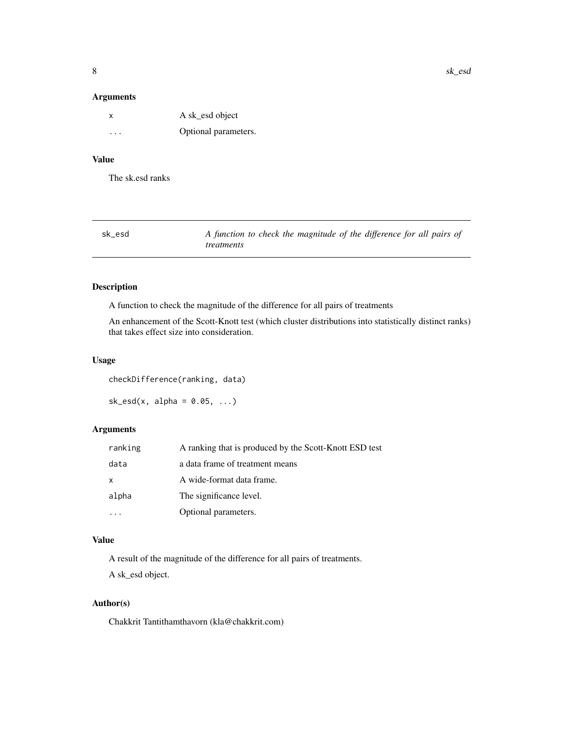#### <span id="page-7-0"></span>Arguments

| x       | A sk_esd object      |
|---------|----------------------|
| $\cdot$ | Optional parameters. |

# Value

The sk.esd ranks

| sk esd | A function to check the magnitude of the difference for all pairs of |
|--------|----------------------------------------------------------------------|
|        | <i>treatments</i>                                                    |

#### Description

A function to check the magnitude of the difference for all pairs of treatments

An enhancement of the Scott-Knott test (which cluster distributions into statistically distinct ranks) that takes effect size into consideration.

#### Usage

checkDifference(ranking, data)

 $sk\_esd(x, alpha = 0.05, ...)$ 

#### Arguments

| ranking | A ranking that is produced by the Scott-Knott ESD test |
|---------|--------------------------------------------------------|
| data    | a data frame of treatment means                        |
| X       | A wide-format data frame.                              |
| alpha   | The significance level.                                |
|         | Optional parameters.                                   |

#### Value

A result of the magnitude of the difference for all pairs of treatments.

A sk\_esd object.

#### Author(s)

Chakkrit Tantithamthavorn (kla@chakkrit.com)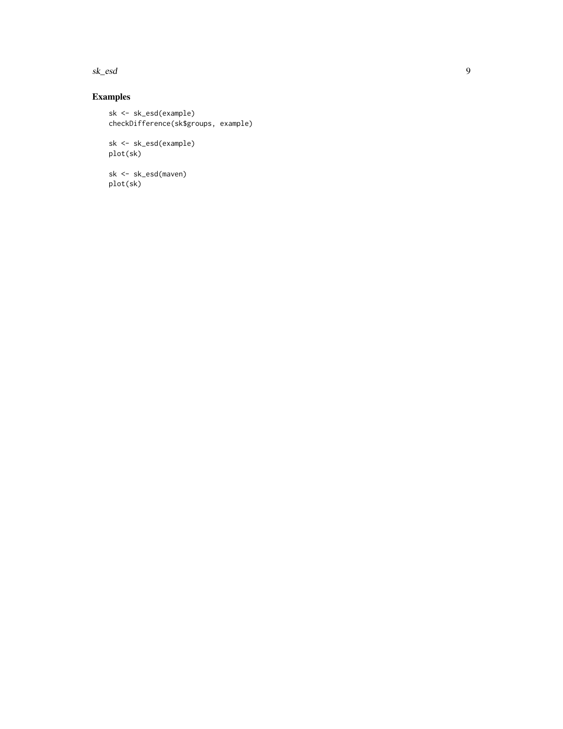## sk\_esd

# Examples

sk <- sk\_esd(example) checkDifference(sk\$groups, example)

sk <- sk\_esd(example) plot(sk)

sk <- sk\_esd(maven) plot(sk)